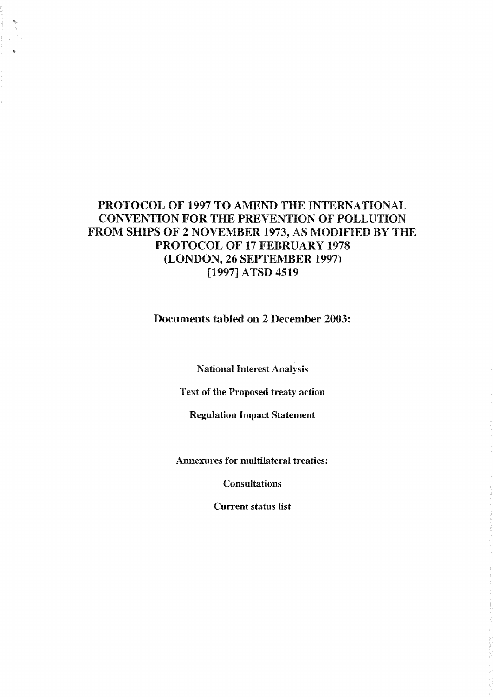# PROTOCOL OF 1997 TO AMEND THE INTERNATIONAL **CONVENTION FOR THE PREVENTION OF POLLUTION** FROM SHIPS OF 2 NOVEMBER 1973, AS MODIFIED BY THE PROTOCOL OF 17 FEBRUARY 1978 (LONDON, 26 SEPTEMBER 1997) [1997] ATSD 4519

Documents tabled on 2 December 2003:

**National Interest Analysis** 

Text of the Proposed treaty action

**Regulation Impact Statement** 

**Annexures for multilateral treaties:** 

**Consultations** 

**Current status list**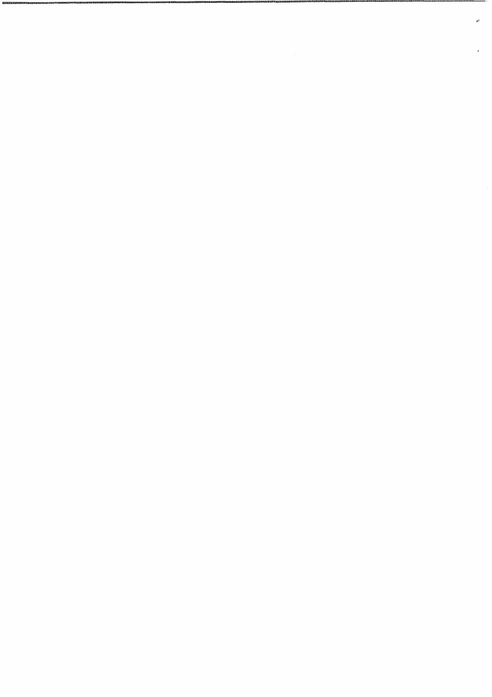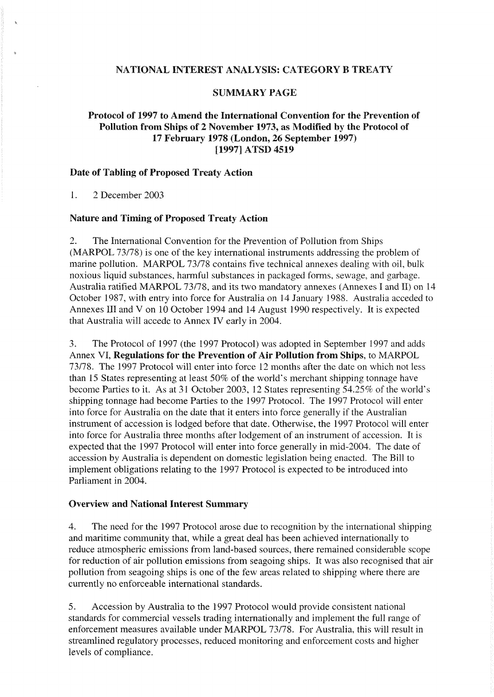## NATIONAL INTEREST ANALYSIS: CATEGORY B TREATY

### **SUMMARY PAGE**

# Protocol of 1997 to Amend the International Convention for the Prevention of Pollution from Ships of 2 November 1973, as Modified by the Protocol of 17 February 1978 (London, 26 September 1997) [1997] ATSD 4519

#### Date of Tabling of Proposed Treaty Action

1. 2 December 2003

## **Nature and Timing of Proposed Treaty Action**

2. The International Convention for the Prevention of Pollution from Ships (MARPOL 73/78) is one of the key international instruments addressing the problem of marine pollution. MARPOL 73/78 contains five technical annexes dealing with oil, bulk noxious liquid substances, harmful substances in packaged forms, sewage, and garbage. Australia ratified MARPOL 73/78, and its two mandatory annexes (Annexes I and II) on 14 October 1987, with entry into force for Australia on 14 January 1988. Australia acceded to Annexes III and V on 10 October 1994 and 14 August 1990 respectively. It is expected that Australia will accede to Annex IV early in 2004.

3. The Protocol of 1997 (the 1997 Protocol) was adopted in September 1997 and Annex VI, Regulations for the Prevention of Air Pollution from Ships, to MARPOL 73/78. The 1997 Protocol will enter into force 12 months after the date on which not less than 15 States representing at least 50% of the world's merchant shipping tonnage have become Parties to it. As at 31 October 2003, 12 States representing 54.25% of the world's shipping tonnage had become Parties to the 1997 Protocol. The 1997 Protocol will enter into force for Australia on the date that it enters into force generally if the Australian instrument of accession is lodged before that date. Otherwise, the 1997 Protocol will enter into force for Australia three months after lodgement of an instrument of accession. It is expected that the 1997 Protocol will enter into force generally in mid-2004. The date of accession by Australia is dependent on domestic legislation being enacted. The Bill to implement obligations relating to the 1997 Protocol is expected to be introduced into Parliament in 2004.

#### **Overview and National Interest Summary**

4. The need for the 1997 Protocol arose due to recognition by the international shipping and maritime community that, while a great deal has been achieved internationally to reduce atmospheric emissions from land-based sources, there remained considerable scope for reduction of air pollution emissions from seagoing ships. It was also recognised that air pollution from seagoing ships is one of the few areas related to shipping where there are currently no enforceable international standards.

5. Accession by Australia to the 1997 Protocol would provide consistent national standards for commercial vessels trading internationally and implement the full range of enforcement measures available under MARPOL 73/78. For Australia, this will result in streamlined regulatory processes, reduced monitoring and enforcement costs and higher levels of compliance.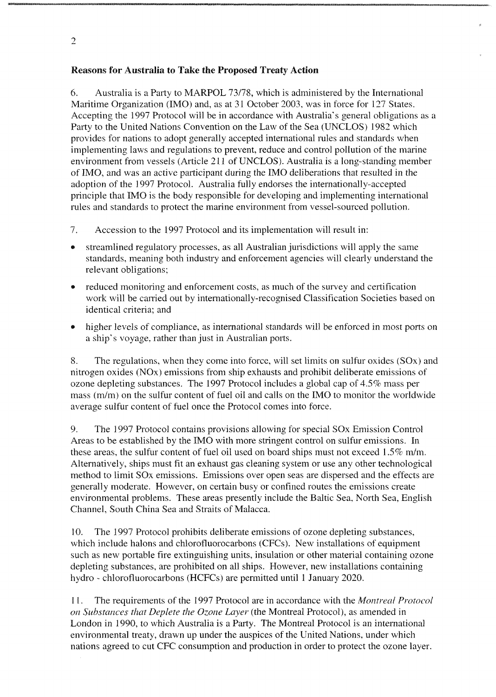# Reasons for Australia to Take the Proposed Treaty Action

6. Australia is a Party to MARPOL 73/78, which is administered by the International Maritime Organization (IMO) and, as at 31 October 2003, was in force for 127 States. Accepting the 1997 Protocol will be in accordance with Australia's general obligations as a Party to the United Nations Convention on the Law of the Sea (UNCLOS) 1982 which provides for nations to adopt generally accepted international rules and standards when implementing laws and regulations to prevent, reduce and control pollution of the marine environment from vessels (Article 211 of UNCLOS). Australia is a long-standing member of IMO, and was an active participant during the IMO deliberations that resulted in the adoption of the 1997 Protocol. Australia fully endorses the internationally-accepted principle that IMO is the body responsible for developing and implementing international rules and standards to protect the marine environment from vessel-sourced pollution.

- 7. Accession to the 1997 Protocol and its implementation will result in:
- streamlined regulatory processes, as all Australian jurisdictions will apply the same standards, meaning both industry and enforcement agencies will clearly understand the relevant obligations;
- reduced monitoring and enforcement costs, as much of the survey and certification work will be carried out by internationally-recognised Classification Societies based on identical criteria; and
- higher levels of compliance, as international standards will be enforced in most ports on a ship's voyage, rather than just in Australian ports.

8. The regulations, when they come into force, will set limits on sulfur oxides (SOx) and nitrogen oxides (NOx) emissions from ship exhausts and prohibit deliberate emissions of ozone depleting substances. The 1997 Protocol includes a global cap of 4.5% mass per mass  $(m/m)$  on the sulfur content of fuel oil and calls on the IMO to monitor the worldwide average sulfur content of fuel once the Protocol comes into force,

9. The 1997 Protocol contains provisions allowing for special SOx Emission Control Areas to be established by the IMO with more stringent control on sulfur emissions. In these areas, the sulfur content of fuel oil used on board ships must not exceed 1.5% m/m. Alternatively, ships must fit an exhaust gas cleaning system or use any other technological method to limit SOx emissions. Emissions over open seas are dispersed and the effects are generally moderate. However, on certain busy or confined routes the emissions create environmental problems. These areas presently include the Baltic Sea, North Sea, English Channel, South China Sea and Straits of Malacca.

10. The 1997 Protocol prohibits deliberate emissions of ozone depleting substances, which include halons and chlorofluorocarbons (CFCs). New installations of equipment such as new portable fire extinguishing units, insulation or other material containing ozone depleting substances, are prohibited on all ships. However, new installations containing hydro - chlorofluorocarbons (HCFCs) are permitted until 1 January 2020.

11. The requirements of the 1997 Protocol are in accordance with the *Montreal Protocol on Substances that Deplete the Ozone Layer* (the Montreal Protocol), as amended in London in 1990, to which Australia is a Party. The Montreal Protocol is an international environmental treaty, drawn up under the auspices of the United Nations, under which nations agreed to cut CFC consumption and production in order to protect the ozone layer.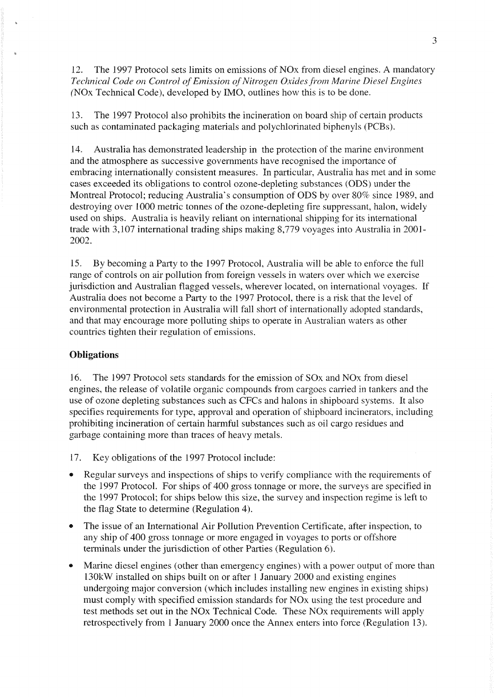12. The 1997 Protocol sets limits on emissions of NOx from diesel engines. A mandatory *Technical Code on Control of Emission of Nitrogen Oxides from Marine Diesel Engines* (NOx Technical Code), developed by IMO, outlines how this is to be done.

13. The 1997 Protocol also prohibits the incineration on board ship of certain products such as contaminated packaging materials and polychlorinated biphenyls (PCBs).

14. Australia has demonstrated leadership in the protection of the marine environment and the atmosphere as successive governments have recognised the importance of embracing internationally consistent measures. In particular, Australia has met and in some cases exceeded its obligations to control ozone-depleting substances (ODS) under the Montreal Protocol; reducing Australia's consumption of ODS by over 80% since 1989, and destroying over 1000 metric tonnes of the ozone-depleting fire suppressant, halon, widely used on ships. Australia is heavily reliant on international shipping for its international trade with 3,107 international trading ships making 8,779 voyages into Australia in 2001- 2002.

15. By becoming a Party to the 1997 Protocol, Australia will be able to enforce the full range of controls on air pollution from foreign vessels in waters over which we exercise jurisdiction and Australian flagged vessels, wherever located, on international voyages. If Australia does not become a Party to the 1997 Protocol, there is a risk that the level of environmental protection in Australia will fall short of internationally adopted standards, and that may encourage more polluting ships to operate in Australian waters as other countries tighten their regulation of emissions.

## **Obligations**

16. The 1997 Protocol sets standards for the emission of SOx and NOx from diesel engines, the release of volatile organic compounds from cargoes carried in tankers and the use of ozone depleting substances such as CFCs and halons in shipboard systems. It also specifies requirements for type, approval and operation of shipboard incinerators, including prohibiting incineration of certain harmful substances such as oil cargo residues and garbage containing more than traces of heavy metals.

- 17. Key obligations of the 1997 Protocol include:
- Regular surveys and inspections of ships to verify compliance with the requirements of the 1997 Protocol. For ships of 400 gross tonnage or more, the surveys are specified in the 1997 Protocol; for ships below this size, the survey and inspection regime is left to the flag State to determine (Regulation 4).
- The issue of an International Air Pollution Prevention Certificate, after inspection, to any ship of 400 gross tonnage or more engaged in voyages to ports or offshore terminals under the jurisdiction of other Parties (Regulation 6).
- Marine diesel engines (other than emergency engines) with a power output of more than 130kW installed on ships built on or after 1 January 2000 and existing engines undergoing major conversion (which includes installing new engines in existing ships) must comply with specified emission standards for NOx using the test procedure and test methods set out in the NOx Technical Code, These NOx requirements will apply retrospectively from 1 January 2000 once the Annex enters into force (Regulation 13).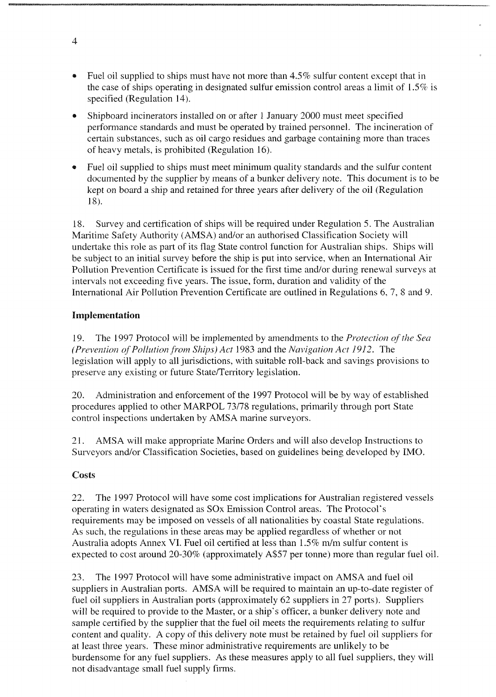- Fuel oil supplied to ships must have not more than  $4.5\%$  sulfur content except that in the case of ships operating in designated sulfur emission control areas a limit of 1.5% is specified (Regulation 14).
- Shipboard incinerators installed on or after 1 January 2000 must meet specified performance standards and must be operated by trained personnel. The incineration of certain substances, such as oil cargo residues and garbage containing more than traces of heavy metals, is prohibited (Regulation 16).
- » Fuel oil supplied to ships must meet minimum quality standards and the sulfur content documented by the supplier by means of a bunker delivery note. This document is to be kept on board a ship and retained for three years after delivery of the oil (Regulation 18).

18. Survey and certification of ships will be required under Regulation 5. The Australian Maritime Safety Authority (AMSA) and/or an authorised Classification Society will undertake this role as part of its flag State control function for Australian ships. Ships will be subject to an initial survey before the ship is put into service, when an International Air Pollution Prevention Certificate is issued for the first time and/or during renewal surveys at intervals not exceeding five years. The issue, form, duration and validity of the International Air Pollution Prevention Certificate are outlined in Regulations 6, 7, 8 and 9.

# Implementation

19. The 1997 Protocol will be implemented by amendments to the *Protection of the Sea (Prevention of Pollution from Ships) Act* 1983 and the *Navigation Act 1912.* The legislation will apply to all jurisdictions, with suitable roll-back and savings provisions to preserve any existing or future State/Territory legislation.

20. Administration and enforcement of the 1997 Protocol will be by way of established procedures applied to other MARPOL 73/78 regulations, primarily through port State control inspections undertaken by AMSA marine surveyors.

21. AMSA will make appropriate Marine Orders and will also develop Instructions to Surveyors and/or Classification Societies, based on guidelines being developed by IMO.

# **Costs**

22. The 1997 Protocol will have some cost implications for Australian registered vessels operating in waters designated as SOx Emission Control areas. The Protocol's requirements may be imposed on vessels of all nationalities by coastal State regulations. As such, the regulations in these areas may be applied regardless of whether or not Australia adopts Annex VI. Fuel oil certified at less than 1.5% m/m sulfur content is expected to cost around 20-30% (approximately A\$57 per tonne) more than regular fuel oil.

23. The 1997 Protocol will have some administrative impact on AMSA and fuel oil suppliers in Australian ports. AMSA will be required to maintain an up-to-date register of fuel oil suppliers in Australian ports (approximately 62 suppliers in 27 ports). Suppliers will be required to provide to the Master, or a ship's officer, a bunker delivery note and sample certified by the supplier that the fuel oil meets the requirements relating to sulfur content and quality. A copy of this delivery note must be retained by fuel oil suppliers for at least three years. These minor administrative requirements are unlikely to be burdensome for any fuel suppliers. As these measures apply to all fuel suppliers, they will not disadvantage small fuel supply firms.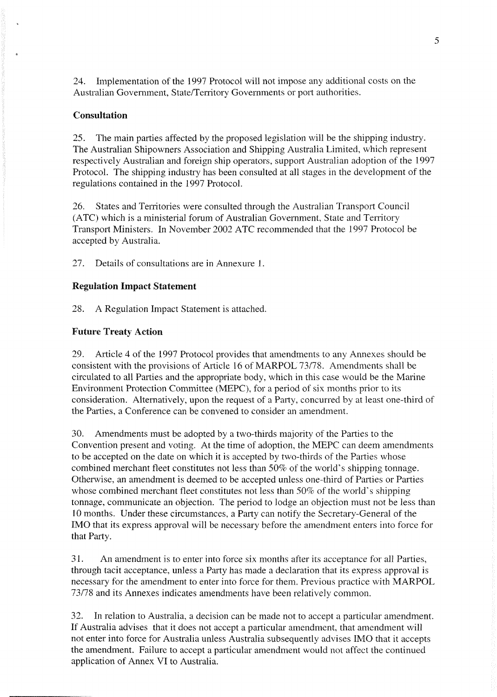24. Implementation of the 1997 Protocol will not impose any additional costs on the Australian Government, State/Territory Governments or port authorities.

# Consultation

25. The main parties affected by the proposed legislation will be the shipping industry. The Australian Shipowners Association and Shipping Australia Limited, which respectively Australian and foreign ship operators, support Australian adoption of the 1997 Protocol. The shipping industry has been consulted at all stages in the development of the regulations contained in the 1997 Protocol.

26. States and Territories were consulted through the Australian Transport Council (ATC) which is a ministerial forum of Australian Government, State and Territory Transport Ministers. In November 2002 ATC recommended that the 1997 Protocol be accepted by Australia.

27. Details of consultations are in Annexure 1.

#### **Regulation Impact Statement**

28. A Regulation Impact Statement is attached.

## **Future Treaty Action**

29. Article 4 of the 1997 Protocol provides that amendments to any Annexes should be consistent with the provisions of Article 16 of MARPOL 73/78. Amendments shall be circulated to all Parties and the appropriate body, which in this case would be the Marine Environment Protection Committee (MEPC), for a period of six months prior to its consideration. Alternatively, upon the request of a Party, concurred by at least one-third of the Parties, a Conference can be convened to consider an amendment.

30. Amendments must be adopted by a two-thirds majority of the Parties to the Convention present and voting. At the time of adoption, the MEPC can deem amendments to be accepted on the date on which it is accepted by two-thirds of the Parties whose combined merchant fleet constitutes not less than 50% of the world's shipping tonnage. Otherwise, an amendment is deemed to be accepted unless one-third of Parties or Parties whose combined merchant fleet constitutes not less than 50% of the world's shipping tonnage, communicate an objection. The period to lodge an objection must not be less than 10 months. Under these circumstances, a Party can notify the Secretary-General of the IMO that its express approval will be necessary before the amendment enters into force for that Party.

31. An amendment is to enter into force six months after its acceptance for all Parties, through tacit acceptance, unless a Party has made a declaration that its express approval is necessary for the amendment to enter into force for them. Previous practice with MARPOL 73/78 and its Annexes indicates amendments have been relatively common.

32. In relation to Australia, a decision can be made not to accept a particular amendment. If Australia advises that it does not accept a particular amendment, that amendment will not enter into force for Australia unless Australia subsequently advises IMO that it accepts the amendment. Failure to accept a particular amendment would not affect the continued application of Annex VI to Australia.